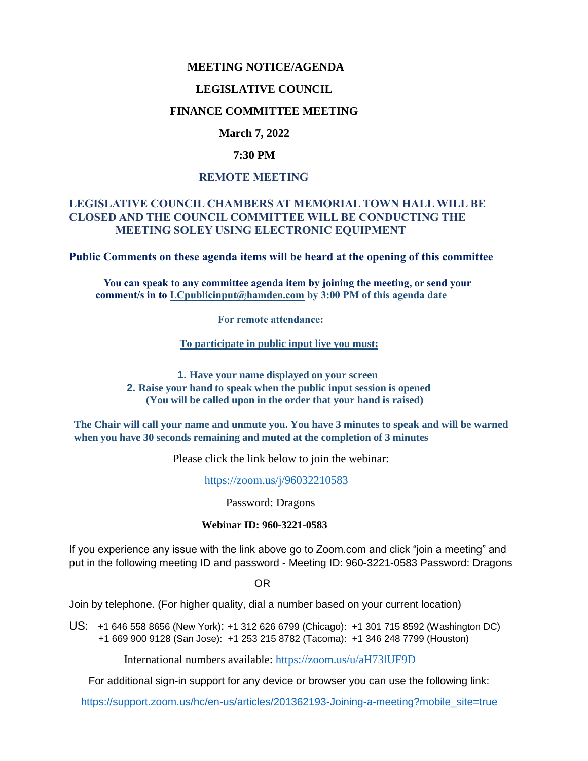### **MEETING NOTICE/AGENDA**

#### **LEGISLATIVE COUNCIL**

## **FINANCE COMMITTEE MEETING**

## **March 7, 2022**

#### **7:30 PM**

#### **REMOTE MEETING**

## **LEGISLATIVE COUNCIL CHAMBERS AT MEMORIAL TOWN HALL WILL BE CLOSED AND THE COUNCIL COMMITTEE WILL BE CONDUCTING THE MEETING SOLEY USING ELECTRONIC EQUIPMENT**

**Public Comments on these agenda items will be heard at the opening of this committee** 

 **You can speak to any committee agenda item by joining the meeting, or send your comment/s in to [LCpublicinput@hamden.com](mailto:LCpublicinput@hamden.com) by 3:00 PM of this agenda date**

 **For remote attendance:**

**To participate in public input live you must:**

**1. Have your name displayed on your screen 2. Raise your hand to speak when the public input session is opened (You will be called upon in the order that your hand is raised)**

**The Chair will call your name and unmute you. You have 3 minutes to speak and will be warned when you have 30 seconds remaining and muted at the completion of 3 minutes**

Please click the link below to join the webinar:

<https://zoom.us/j/96032210583>

Password: Dragons

#### **Webinar ID: 960-3221-0583**

If you experience any issue with the link above go to Zoom.com and click "join a meeting" and put in the following meeting ID and password - Meeting ID: 960-3221-0583 Password: Dragons

OR

Join by telephone. (For higher quality, dial a number based on your current location)

US: [+1 646 558 8656 \(New York\)](tel:+16465588656): [+1 312 626 6799 \(Chicago\):](tel:+13126266799) [+1 301 715 8592 \(Washington DC\)](tel:+13017158592) +1 669 900 9128 (San Jose): [+1 253 215 8782 \(Tacoma\):](tel:+12532158782) [+1 346 248 7799 \(Houston\)](tel:+13462487799)

International numbers available:<https://zoom.us/u/aH73lUF9D>

For additional sign-in support for any device or browser you can use the following link:

[https://support.zoom.us/hc/en-us/articles/201362193-Joining-a-meeting?mobile\\_site=true](https://support.zoom.us/hc/en-us/articles/201362193-Joining-a-meeting?mobile_site=true)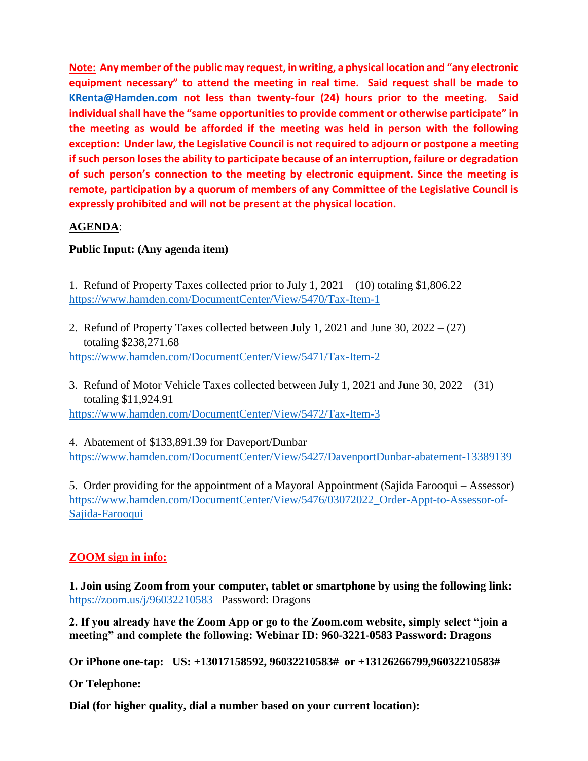**Note: Any member of the public may request, in writing, a physical location and "any electronic equipment necessary" to attend the meeting in real time. Said request shall be made to [KRenta@Hamden.com](mailto:KRenta@Hamden.com) not less than twenty-four (24) hours prior to the meeting. Said individual shall have the "same opportunities to provide comment or otherwise participate" in the meeting as would be afforded if the meeting was held in person with the following exception: Under law, the Legislative Council is not required to adjourn or postpone a meeting if such person loses the ability to participate because of an interruption, failure or degradation of such person's connection to the meeting by electronic equipment. Since the meeting is remote, participation by a quorum of members of any Committee of the Legislative Council is expressly prohibited and will not be present at the physical location.**

# **AGENDA**:

# **Public Input: (Any agenda item)**

1. Refund of Property Taxes collected prior to July 1, 2021 – (10) totaling \$1,806.22 <https://www.hamden.com/DocumentCenter/View/5470/Tax-Item-1>

- 2. Refund of Property Taxes collected between July 1, 2021 and June 30, 2022 (27) totaling \$238,271.68 <https://www.hamden.com/DocumentCenter/View/5471/Tax-Item-2>
- 3. Refund of Motor Vehicle Taxes collected between July 1, 2021 and June 30, 2022 (31) totaling \$11,924.91

<https://www.hamden.com/DocumentCenter/View/5472/Tax-Item-3>

4. Abatement of \$133,891.39 for Daveport/Dunbar <https://www.hamden.com/DocumentCenter/View/5427/DavenportDunbar-abatement-13389139>

5. Order providing for the appointment of a Mayoral Appointment (Sajida Farooqui – Assessor) [https://www.hamden.com/DocumentCenter/View/5476/03072022\\_Order-Appt-to-Assessor-of-](https://www.hamden.com/DocumentCenter/View/5476/03072022_Order-Appt-to-Assessor-of-Sajida-Farooqui)[Sajida-Farooqui](https://www.hamden.com/DocumentCenter/View/5476/03072022_Order-Appt-to-Assessor-of-Sajida-Farooqui)

# **ZOOM sign in info:**

**1. Join using Zoom from your computer, tablet or smartphone by using the following link:** <https://zoom.us/j/96032210583>Password: Dragons

**2. If you already have the Zoom App or go to the Zoom.com website, simply select "join a meeting" and complete the following: Webinar ID: 960-3221-0583 Password: Dragons**

**Or iPhone one-tap: US: +13017158592, 96032210583# or +13126266799,96032210583#** 

**Or Telephone:**

**Dial (for higher quality, dial a number based on your current location):**